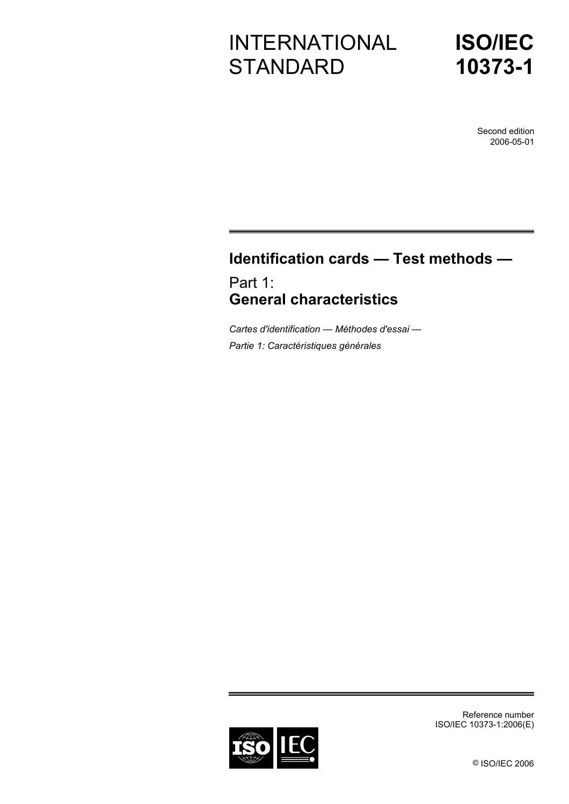# INTERNATIONAL **STANDARD**



Second edition 2006-05-01

## **Identification cards — Test methods —**

Part 1: **General characteristics** 

*Cartes d'identification — Méthodes d'essai — Partie 1: Caractéristiques générales* 



Reference number ISO/IEC 10373-1:2006(E)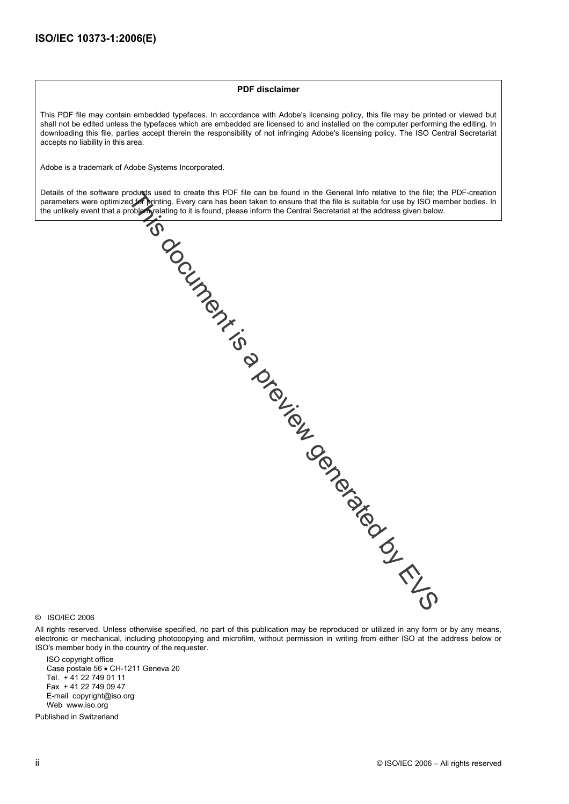#### **PDF disclaimer**

This PDF file may contain embedded typefaces. In accordance with Adobe's licensing policy, this file may be printed or viewed but shall not be edited unless the typefaces which are embedded are licensed to and installed on the computer performing the editing. In downloading this file, parties accept therein the responsibility of not infringing Adobe's licensing policy. The ISO Central Secretariat accepts no liability in this area.

Adobe is a trademark of Adobe Systems Incorporated.

Details of the software products used to create this PDF file can be found in the General Info relative to the file; the PDF-creation parameters were optimized for printing. Every care has been taken to ensure that the file is suitable for use by ISO member bodies. In the unlikely event that a problem relating to it is found, please inform the Central Secretariat at the address given below.



#### © ISO/IEC 2006

All rights reserved. Unless otherwise specified, no part of this publication may be reproduced or utilized in any form or by any means, electronic or mechanical, including photocopying and microfilm, without permission in writing from either ISO at the address below or ISO's member body in the country of the requester.

ISO copyright office Case postale 56 • CH-1211 Geneva 20 Tel. + 41 22 749 01 11 Fax + 41 22 749 09 47 E-mail copyright@iso.org Web www.iso.org

Published in Switzerland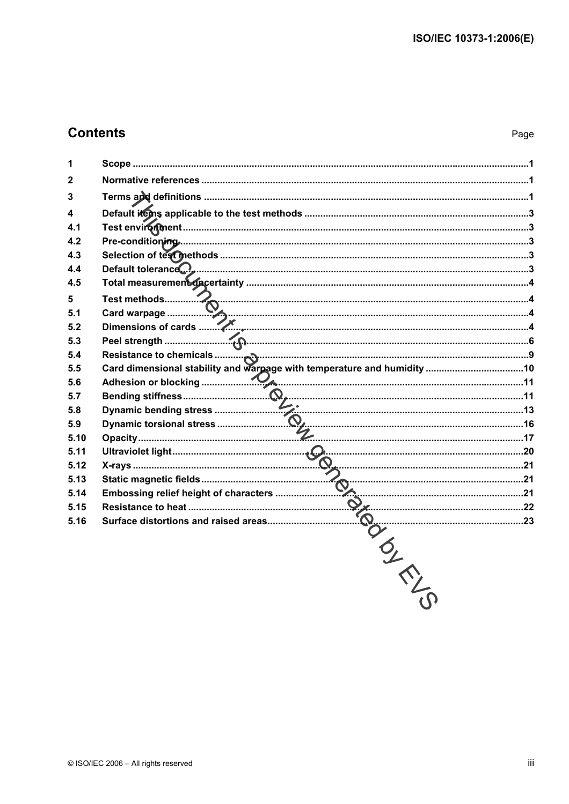### **Contents**

| 1            |  |
|--------------|--|
| $\mathbf{2}$ |  |
| 3            |  |
| 4            |  |
| 4.1          |  |
| 4.2          |  |
| 4.3          |  |
| 4.4          |  |
| 4.5          |  |
| 5            |  |
| 5.1          |  |
| 5.2          |  |
| 5.3          |  |
| 5.4          |  |
| 5.5          |  |
| 5.6          |  |
| 5.7          |  |
| 5.8          |  |
| 5.9          |  |
| 5.10         |  |
| 5.11         |  |
| 5.12         |  |
| 5.13         |  |
| 5.14         |  |
| 5.15         |  |
| 5.16         |  |
|              |  |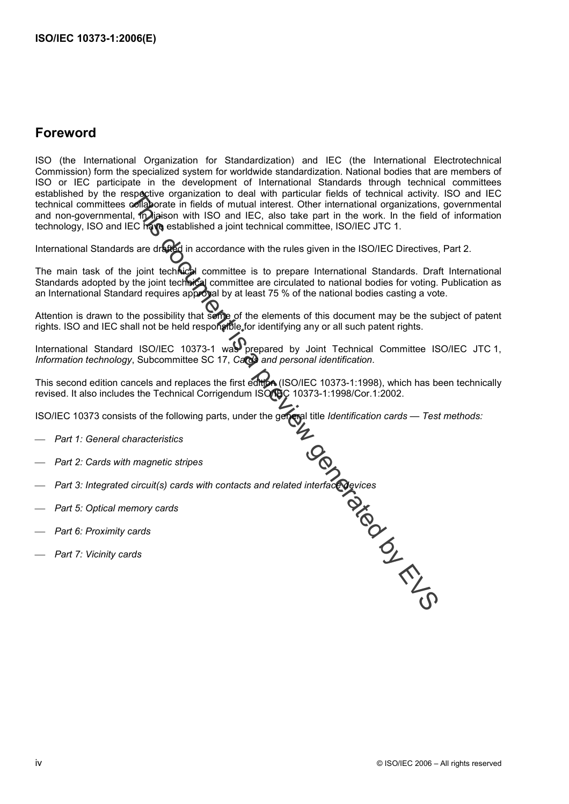### **Foreword**

ISO (the International Organization for Standardization) and IEC (the International Electrotechnical Commission) form the specialized system for worldwide standardization. National bodies that are members of ISO or IEC participate in the development of International Standards through technical committees established by the respective organization to deal with particular fields of technical activity. ISO and IEC technical committees collaborate in fields of mutual interest. Other international organizations, governmental and non-governmental, in liaison with ISO and IEC, also take part in the work. In the field of information technology, ISO and IEC have established a joint technical committee, ISO/IEC JTC 1. Established by the respective organization to deal with particular fields of technical activity.<br>
Etechnical committees of fighereor in the SO and IEC, also take part in the work. In the field<br>
International orgorermenta

International Standards are drafted in accordance with the rules given in the ISO/IEC Directives, Part 2.

The main task of the joint technical committee is to prepare International Standards. Draft International Standards adopted by the joint technical committee are circulated to national bodies for voting. Publication as an International Standard requires approval by at least 75 % of the national bodies casting a vote.

Attention is drawn to the possibility that some of the elements of this document may be the subject of patent rights. ISO and IEC shall not be held responsible for identifying any or all such patent rights.

International Standard ISO/IEC 10373-1 was prepared by Joint Technical Committee ISO/IEC JTC 1, *Information technology*, Subcommittee SC 17, *Cards and personal identification*.

This second edition cancels and replaces the first edition (ISO/IEC 10373-1:1998), which has been technically revised. It also includes the Technical Corrigendum ISO/IDC 10373-1:1998/Cor.1:2002.

ISO/IEC 10373 consists of the following parts, under the general title *Identification cards — Test methods:* 

- ⎯ *Part 1: General characteristics*
- ⎯ *Part 2: Cards with magnetic stripes*
- Part 3: Integrated circuit(s) cards with contacts and related interface devices<br>
Part 5: Optical memory cards<br>
inty cards<br>
integrated structures<br>
integrated circuit(s) cards with contacts and related interface devices<br>
and
- ⎯ *Part 5: Optical memory cards*
- ⎯ *Part 6: Proximity cards*
-